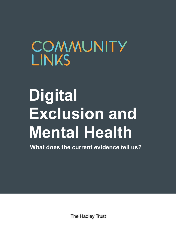## COMMUNITY **LINKS**

# **Digital Exclusion and Mental Health**

**What does the current evidence tell us?**

The Hadley Trust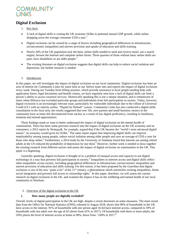

### **Digital Exclusion**

- 1. Key facts
- A lack of digital skills is costing the UK economy £63bn in potential annual GDP growth, while online shopping saves the average consumer £550 a year.<sup>1</sup>
- Digital exclusion can be caused by a range of factors including geographical differences in infrastructure, socioeconomic inequalities and uneven provision and uptake of education and skills training.
- Nearly 20% of the UK population lack the basic online skills needed to send and receive email, use a search engine, browse the internet and complete online forms. Three quarters of those without basic online skills are poor, have disabilities or are older people.<sup>2</sup>
- The existing literature on digital exclusion suggests that digital skills can help to reduce social isolation and depression, but further research is needed.

### 2. Introduction

In this paper, we will investigate the impact of digital exclusion on our local community. Digital exclusion has been an area of interest for Community Links for some time as our Advice team sees and reports the impact of digital exclusion every week. During our Tuesday form-filling sessions, which provide assistance to local people needing help with application forms, legal documents and benefit claims, we have regularly seen how a lack of digital skills can limit a person's ability to access essential services. Historically speaking this is not a unique situation, and is reminiscent of times when illiteracy has excluded particular groups and individuals from full participation in society. Today, however, digital exclusion is an increasingly relevant issue, particularly for vulnerable individuals due to the rollout of Universal Credit (UC) with an entirely online, "Digital by Default" system. Community Links has also conducted a digital skills consultation in the local area; the results suggested that over 50s, new parents and small business owners in the community have at times felt disconnected from society as a result of low digital proficiency, resulting in loneliness, isolation and missed opportunities.

These findings made us want to better understand the impact of digital exclusion on the mental health of communities. There has been some previous research into the impact of digital exclusion on the UK economy and on consumers; a 2012 report by Strategy&, for example, argued that if the UK became the "world's most advanced digital nation", its economy would grow by £63bn.<sup>3</sup> The same report argues that improving digital skills can improve employability among young people, reduce social isolation among older people and save an average of £550 a year for those who shop online.<sup>4</sup> Furthermore, a 2014 study by the University of Alabama found that internet use among retired adults in the US reduced the probability of depression by one third.<sup>5</sup> However, further work is needed to draw together the existing research from different sectors and assess the impact of digital exclusion on communities in the UK. This paper is a beginning.

Generally speaking, digital exclusion is thought of as a problem of unequal access and capacity to use digital technology in a way that prevents full participation in society.<sup>6</sup> Inequalities in internet access and digital skills reflect other inequalities across society, including geographical differences in infrastructure, socioeconomic inequalities and uneven provision of education and skills training. For this reason, it has been proposed by the *Guardian* that digital exclusion is one of the new "giant evils" of the 21<sup>st</sup> century, a phenomenon which entrenches existing inequalities, limits social integration and prevents full access to citizenship rights.<sup>7</sup> In this paper, therefore, we will assess the current research on digital exclusion in the UK, and examine the impact it has on the wellbeing and mental health of our local community in Newham.

### 3. Overview of the digital exclusion in the UK

### **i. How many people are digitally excluded?**

Overall, levels of digital participation in the UK are high, despite a recent downturn on some measures. The most recent data from the Office for National Statistics (ONS), released in August 2018, shows that 90% of households in the UK have access to the internet. 91% of households with one person aged 16-64 have internet access, compared to 59% of households with one adult over the age of 65 (down from 61% in 2017). Of households with three or more adults, the ONS places the level of internet access at home at 98%, down from  $\approx 100\%$  in 2017.<sup>8</sup>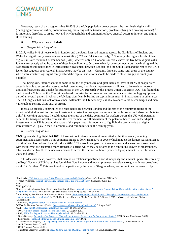

However, research also suggests that 16-23% of the UK population do not possess the most basic digital skills (managing information online, communicating, mastering online transactions, problem solving and creating content). 9 It is important, therefore, to assess how and why households and communities have unequal access to internet and digital skills training.

### **ii. Why are they excluded?**

#### *a. Geographical inequalities*

In 2017, whilst 94% of households in London and the South East had internet access, the North East of England and Wales had significantly lower rates of accessibility (82% and 84% respectively).<sup>10</sup> Similarly, the highest levels of basic digital skills are found in Greater London (84%), whereas only 62% of adults in Wales have the five basic digital skills.<sup>11</sup> It is unclear exactly what the causes of these inequalities are. On the one hand, some commentators have highlighted the vast geographical inequalities in infrastructure investment between London (and the South East) and the rest of the UK, a factor that suggests poor regional infrastructure may be an issue.<sup>12</sup> Certainly there are some rural areas of the country where infrastructure lags significantly behind the capital, and efforts should be made to close this gap as quickly as possible.<sup>13</sup>

That being said, internet access at home is not the only measure of digital inclusion; even if 100% of people were potentially able to access the internet in their own home, significant improvements still need to be made to improve digital infrastructure and uptake for businesses in the UK. Research by the Trades Union Congress (TUC) has found that the UK ranks 20th out of the 21 most developed countries for information and communications technology equipment, part of an overall pattern in which the UK lags significantly behind on capital investment in infrastructure in other areas. The TUC argues that this lack of investment will make the UK economy less able to adapt to future challenges and more vulnerable to seismic shifts such as Brexit.<sup>14</sup>

It has also arguably contributed to a vast inequality between London and the rest of the country in terms of the growth of digital industries. Further investment in faster internet speeds at more affordable costs could also contribute to a shift in working practices. It could reduce the stress of the daily commute for workers across the UK, with potential benefits for transport infrastructure and the environment. A full discussion of the potential benefits of further digital investment in the UK is beyond the scope of this paper, yet it is important to highlight the central role that digital infrastructure will play in the UK economy, and communities, in the coming years.

### *b. Social inequalities*

ONS figures also highlight that 16% of those without internet access at home cited prohibitive costs (including equipment and access costs). This combined figure is down from 37% in 2006 (which made it the largest reason given at that time) and has reduced by a third since 2014.<sup>15</sup> This would suggest that the equipment and access costs associated with the internet are becoming more affordable, a trend which may be related to the continuing growth of smartphones, tablets and other handheld devices as a means to access the internet at home (whereas laptop internet use fell between 2016 and 2018).<sup>16</sup>

This does not mean, however, that there is no relationship between social inequality and internet uptake. Research by the Royal Society of Edinburgh has found that "low income and low employment correlate strongly with low broadband uptake" in Scotland.<sup>17</sup> This was found to be particularly the case in Glasgow where, according to earlier research by

1

<sup>1</sup> Strategy&, *["This is for everyone": The Case For Universal Digitisation](http://www.google.co.uk/url?sa=t&rct=j&q=&esrc=s&source=web&cd=1&ved=0CCIQFjAA&url=http%3A%2F%2Fwww.go-on.co.uk%2Fwp-content%2Fuploads%2F2013%2F12%2FThe-Booz-Report-Nov2012.pdf&ei=CNi6U57_AcX80QWZ64GoCA&usg=AFQjCNHO2EmKB0Z47h0nNcvrdKRA4-KcXg&bvm=bv.70138588,d.d2k)* (Strategy&: London, 2012), p.5.

<sup>2</sup> Tristan Wilkinson[, 'Digital exclusion is a modern social evil we can abolish',](https://www.theguardian.com/society/2014/jul/08/digital-exclusion-not-insurmountable-problem-public-sector) *Guardian*, 8 July 2014.

<sup>3</sup> Ibid.

<sup>4</sup> Ibid. pp.23-24.

<sup>&</sup>lt;sup>5</sup> Shelia R. Cotten George Ford Sherry Ford Timothy M. Hale, <u>'Internet Use and Depression Among Retired Older Adults in the United States: A</u> [Longitudinal Analysis',](https://academic.oup.com/psychsocgerontology/article/69/5/763/2940062) *The Journals of Gerontology,* 69:5 (2014), pp.763–771 (p.763).

<sup>&</sup>lt;sup>6</sup> Amit Schejter, Ben Harush, Orit Rivka, & Tirosh, Noam, 'Re-theorizing the "digital divide": Identifying dimensions of social exclusion in [contemporary media technologies',](https://eprints.qut.edu.au/86701/) In FACE Conference: European Media Policy 2015, 9-10 April 2015, University of Helsinki, Finland. (Unpublished).

<sup>7</sup> Wilkinson, 'Digital exclusion is a modern social evil we can abolish'.

<sup>8</sup> Office for National Statistics (ONS), 'Internet access - [households and individuals',](https://www.ons.gov.uk/peoplepopulationandcommunity/householdcharacteristics/homeinternetandsocialmediausage/datasets/internetaccesshouseholdsandindividualsreferencetables) 8 August 2018.

<sup>9</sup> LSE[, 'UK's first Digital Exclusion Heatmap launched',](http://www.lse.ac.uk/website-archive/newsAndMedia/news/archives/2015/10/DigitalHeatmap.aspx) 19 October 2015.

<sup>10</sup> ONS, 'Internet access - [households and individuals',](https://www.ons.gov.uk/peoplepopulationandcommunity/householdcharacteristics/homeinternetandsocialmediausage/datasets/internetaccesshouseholdsandindividualsreferencetables) 3 August 2017.

<sup>11</sup> LSE[, 'UK's first Digital Exclusion Heatmap launched',](http://www.lse.ac.uk/website-archive/newsAndMedia/news/archives/2015/10/DigitalHeatmap.aspx) 19 October 2015.

<sup>&</sup>lt;sup>12</sup> Grace Blakeley, *[Paying for Our Progress: How will the Northern Powerhouse be financed and funded?](https://www.ippr.org/publications/paying-for-our-progress)* (IPPR North: Manchester, 2017).

<sup>13</sup> Ricky Nicol[, 'Scotland's Internet Lag Is a Major Economic Risk',](https://digit.fyi/commsworld-poor-digital-infrastructure/) *Digit*.

<sup>14</sup> Trade Unions Congress[, 'UK languishing near bottom of OECD rankings for investment in vital infrastructure',](https://www.tuc.org.uk/news/uk-languishing-near-bottom-oecd-rankings-investment-vital-infrastructure) 16 November 2016.

<sup>15</sup> ONS, 'Internet Access', 2017.

<sup>&</sup>lt;sup>16</sup> ONS, 'Internet Access', 2018.

<sup>17</sup> The Royal Society of Edinburgh, *[Spreading the Benefits of Digital Participation](http://www.rse.org.uk/wp-content/uploads/2016/09/Digital-Report-High-Res-EQ5.pdf)* (RSE: Edinburgh, 2014), p.26.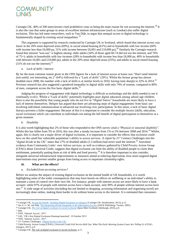

Carnegie UK,  $40\%$  of 200 interviewees cited prohibitive costs as being the main reason for not accessing the internet.<sup>18</sup> It is also the case that some groups in areas of excellent internet infrastructure (such as London) also suffer digital exclusion. This has led some researchers, such as Van Dijk, to argue that unequal access to digital technology is fundamentally shaped by existing social inequalities.<sup>19</sup>

This argument is supported by research conducted by Carnegie UK in Scotland, which found that internet access was lower in the 20% most deprived areas (69%), in social rented housing (61%) and in households with low income (60% with income less than £6,000 pa, 51% with income between £6,001 and £10,000 pa).<sup>20</sup> Similarly the Carnegie research found that internet "non-use" is highest among: older adults (34% of those aged 60-74 did not use the internet, and 76% of 75+); adults in households with low incomes (28% in households with income less than £6,000 pa, 40% in households with between £6,001 and £10,000 pa); adults in the 20% most deprived areas (25%); and adults in social rented housing  $(31\%$  do not use the internet).<sup>21</sup>

### *a. Lack of skills / interest*

By far the most common reason given in the ONS figures for a lack of internet access at home was "Don't need internet (not useful, not interesting, etc.)" (64%) followed by a "Lack of skills" (20%). Whilst the former group has almost doubled since 2008, the number with a lack of skills is at similar levels to 2010, having risen sharply to 32% in 2014.<sup>22</sup> Previous research has also suggested a gendered inequality in digital skills with only 74% of women, compared to 80% of men, competent across the five basic digital skills.<sup>23</sup>

Judging the progress of engagement with digital technology is difficult as technology and the skills needed to use it continually evolve. Whilst a "Lack of skills" potentially highlights poor digital education among school-age children, there is also the possibility that young people who do not live in "Digital Native" households are more likely to have a lack of interest themselves. Helsper has argued that there are advancing steps of digital engagement: from basic use involving individual communication to advanced use involving civic participation. In this sense, a lack of basic digital literacy prevents a fuller engagement. Because of this it is important to consider the multiple factors (skills, education, social exclusion) which can contribute to individuals not seeing the full benefit of digital participation to themselves at a given moment.

### *b. Disability*

It is also worth highlighting that 2% of those who responded to the ONS survey cited a "Physical or sensorial disability". Whilst this has fallen from 5% in 2016, this was after a steady increase from 1% to 5% between 2008 and 2016.<sup>24</sup> Whilst, again, this is clearly not a major driver of digital exclusion, it is important to consider the effects that exclusion could have on this small but vulnerable population's ability to access services. A report by 21<sup>st</sup> Century Challenges into the "digital divide in the UK" states that 27% of disabled adults (3.3 million) had never used the internet.<sup>25</sup> Anecdotal evidence from Community Links' own Advice services, as well as evidence gathered by Child Poverty Action Group (CPAG) about Universal Credit, suggests that digital exclusion can limit the ability of disabled people to claim their entitlement, potentially putting them at risk of debt and food poverty.<sup>26</sup> It is therefore important to also consider, alongside universal infrastructural improvements or measures aimed at reducing deprivation, how more targeted digital interventions may prevent smaller groups from losing access to important citizenship rights.

### **iii. What are the effects?**

### *a. Excluded from accessing services?*

Before we analyse the impact of existing digital exclusion on the mental health of UK households, it is worth highlighting some of the wider consequences that may have knock-on effects on wellbeing or an individual's ability to maintain a sense of control over their own life. For instance, people with internet access are more likely to have a bank account: while 97% of people with internet access have a bank account, only 90% of people without internet access have one.<sup>27</sup> A wide range of activities (including but not limited to shopping, accessing information and organising travel) are increasingly done online, making them harder to do without home access to the internet. It is estimated that consumers

<sup>21</sup> Ibid.

<sup>1</sup> <sup>18</sup> Carnegie UK, *[Across the Divide: Tackling Digital Exclusion in Glasgow](https://d1ssu070pg2v9i.cloudfront.net/pex/carnegie_uk_trust/2016/02/pub14550115961.pdf)* (Carnegie UK: Dunfermline, 2013), p.15.

<sup>19</sup> Jan A. G. M. van Dijk, *[The Deepening Divide Inequality in the Information Society](https://uk.sagepub.com/en-gb/eur/the-deepening-divide/book226556#contents)* (SAGE Publishing: Twente, 2005).

<sup>20</sup> Carnegie UK, *[The role of digital exclusion in social exclusion](https://d1ssu070pg2v9i.cloudfront.net/pex/carnegie_uk_trust/2016/09/LOW-2697-CUKT-Digital-Participation-Report-REVISE.pdf)* (Ipsos Mori Scotland: Edinburgh, 2016), p.9.

<sup>22</sup> ONS, 'Internet Access', 2017.

<sup>23</sup> LSE, 'UK's first Digital Exclusion Heatmap launched', 19 October 2015.

<sup>24</sup> ONS, 'Internet Access', 2017.

<sup>25</sup> 21st Century Challenges[, 'Digital divide in the UK'.](https://21stcenturychallenges.org/what-is-the-digital-divide/)

<sup>26</sup> Child Poverty Action Group (CPAG), *Universal Credit Full Service Roll Out: What The Early Warning System Cases Are Telling Us* (CPAG: Glasgow, 2017), p.9.

<sup>27</sup> Carnegie UK, *The role of digital exclusion in social exclusion*, p.11.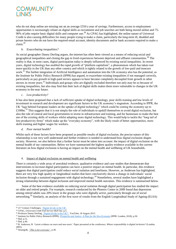### **OMMUNITY**

who do not shop online are missing out on an average £550 a year of savings. Furthermore, access to employment opportunities is increasingly reliant on digital skills as recruitment and job searches are both being moved online and 75- 90% of jobs require basic digital skills and computer use.<sup>28</sup> As CPAG has highlighted, the online nature of Universal Credit is also causing difficulties for many people trying to make a claim, particularly the long-term ill, disabled and prison leavers who do not have the required email account, identity documents and/or bank accounts required to make a claim.<sup>29</sup>

### *b. Exacerbating inequalities?*

As social geographer Danny Dorling argues, the internet has often been viewed as a means of reducing social and geographical inequalities and closing the gap in lived experiences between deprived and affluent communities.<sup>30</sup> The reality is that, in most cases, digital participation today is deeply influenced by existing social inequalities. In recent years, digital technology has enabled the rapid growth of "platform capitalism", a phenomenon which has taken root more quickly in the UK than any other country and which is tightly related to the growth of low-paid and insecure work.<sup>31</sup> The further integration of Artificial Intelligence and automation into the UK economy also has the potential, as the Institute for Public Policy Research (IPPR) has argued, to exacerbate existing inequalities if not managed correctly, particularly as pay growth in high-paid sectors appears to have become completely decoupled from growth in other sectors in recent years.<sup>32</sup> Individuals and groups who are digitally excluded therefore not only may be so because of existing inequalities, but also may find that their lack of digital skills makes them more vulnerable to changes in the UK economy in the near future.

### *c. Low productivity?*

It has also been proposed that a lack of sufficient uptake of digital technology, poor skills training and low levels of investment in research and development are significant factors in the UK economy's stagnation. According to IPPR, the UK "lags behind European leaders on the uptake of digital technology" which could be costing the economy up to  $\text{\pounds}100\text{bn}^{33}$  This suggests that it is not simply the role of individuals to upskill themselves to avoid digital exclusion, but also the role of central and local governments to invest in infrastructure and training, and for businesses to make the best use of the existing skills of workers whilst adopting more digital technology. This would help to tackle the "long tail of low-productivity firms" which make up the "everyday economy", with the likely result of better opportunities, more skills training and higher wages for workers.

### *d. Poor mental health?*

Whilst each of these factors have been proposed as possible results of digital exclusion, the precise nature of this relationship is not very well understood and further evidence is needed to understand how digital exclusion shapes society. However, we also believe that a further factor must be taken into account: the impact of digital exclusion on the mental health of our communities. Below we have summarised the highest quality evidence available in the current literature on how digital exclusion is having an impact on the mental health and wellbeing of UK households.

### 4. Impact of digital exclusion on mental health and wellbeing

There is certainly a wide array of anecdotal evidence, qualitative evidence and case studies that demonstrate that interventions to increase digital participation can have a positive impact on mental health. In particular, this evidence suggests that digital participation could reduce social isolation and loneliness. However, as Anderson has highlighted, there are very few high quality or longitudinal studies that have conclusively shown a change in individuals' social inclusion through a sustained engagement with digital technology.<sup>34</sup> Nonetheless, several studies have highlighted a strong relationship between digital inclusion and improved mental health outcomes. This evidence is summarised below.

Some of the best evidence available on reducing social isolation through digital participation has studied the impact on older and retired people. For example, research conducted by the Phoenix Centre in 2009 found that depression among retired adults was 20% lower in the groups who were digitally active, particularly through use of social networking.<sup>35</sup> Similarly, an analysis of the first wave of results from the English Longitudinal Study of Ageing (ELSA)

**<sup>.</sup>** <sup>28</sup> 21<sup>st</sup> Century Challenges[, 'Digital divide in the UK'.](https://21stcenturychallenges.org/what-is-the-digital-divide/)

<sup>29</sup> CPAG, *Universal Credit Full Service Roll Out*, p.3.

<sup>&</sup>lt;sup>30</sup> Professor Danny Dorling[, 'Digital divide in the UK?',](https://www.youtube.com/watch?v=c3E7ENJPaXc) YouTube, 18 August 2015.

<sup>31</sup> Institute for Public Policy Research (IPPR), *[Prosperity and Justice: A Plan for the New Economy](https://www.ippr.org/research/publications/prosperity-and-justice)* (IPPR: London, 2018), p.50.

<sup>32</sup> Ibid. p.51.

<sup>33</sup> Ibid. p.49.

<sup>34</sup> B. Anderson, B. 'Latest evidence on users and non-users'. Paper presented at the conference, *Whose responsibility is digital inclusion?* (London, 2005).

<sup>35</sup> Strategy&, *"This is for everyone"*, p.30.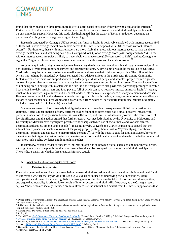

found that older people are three times more likely to suffer social exclusion if they have no access to the internet.<sup>36</sup> Furthermore, Haddon's research has found a relationship between social isolation and digital participation in single parents and older people. However, this study also highlighted that the extent of isolation reduction depended on participants' willingness to engage with digital technology.<sup>37</sup>

Research conducted by Carnegie UK has found that "mental health is positively correlated with internet access: 49% of those with above average mental health have access to the internet compared with 38% of those without internet access".<sup>38</sup> Furthermore, those with internet access are more likely than those without internet access to have an above average mental health and wellbeing score (15% compared to 9%) or an average score (74% compared to 66%). Those without internet access are twice as likely to have a below average score (25% compared to 12%), leading Carnegie to argue that "digital exclusion may play a significant role in some dimensions of social exclusion".<sup>39</sup>

Another way in which digital exclusion may have a negative impact on mental health is through the exclusion of the non-digitally literate from important services and citizenship rights. A key example would be the rollout of Universal Credit which requires claimants to have an email account and manage their claim entirely online. The rollout of this system has, judging by anecdotal evidence collected from advice services in the third sector (including Community Links), increased demands on support services as older people, disabled people and homeless people require a greater degree of support than was necessary with legacy benefits to navigate the complex online system. The knock-on effects of not being able to navigate this system can include the non-receipt of welfare payments, potentially pushing vulnerable households into debt, rent arrears and food poverty (all of which can have negative impacts on mental health).<sup>40</sup> Again, much of this evidence is qualitative and anecdotal, and reflects the real-life experience of many claimants and advisors. However, to fully unpick and understand the role that digital exclusion is having, among a number of other contributory factors to poor mental health for vulnerable households, further evidence (particularly longitudinal studies of digitallyexcluded Universal Credit claimants) is needed.

Some recent research has conversely highlighted potentially negative consequence of digital participation. For example, Huang's meta-analysis of forty different studies found that internet use had a small negative impact, with potential associations to depression, loneliness, low self-esteem, and low life satisfaction (however, the results were of low significance and the author argued that further research was needed). Studies by the University of Melbourne and University of Missouri have highlighted possible relationships between use of social media and low self-esteem, depression and anxiety among young people.<sup>41</sup> In a similar vein, O'Keefe and Clarke-Pearson have argued that the internet can represent an unsafe environment for young people, putting them at risk of "cyberbullying, 'Facebook depression', sexting, and exposure to inappropriate content".<sup>42</sup> As with the positive case for digital inclusion, however, the evidence that digital inclusion can have a negative impact on mental health is weak and needs to be better understood with more high-quality evidence and longitudinal studies.

In summary, existing evidence appears to indicate an association between digital exclusion and poor mental health, although there is also the possibility that poor mental health can be prompted by some forms of digital participation. There is little clarity on whether these relationships are causal.

### 5. What are the drivers of digital exclusion?

### **i. Existing inequalities**

1

Even with better evidence of a strong association between digital exclusion and poor mental health, it would be difficult to understand whether the key driver of this is digital exclusion in itself or underlying social inequalities. Many policymakers and researchers have highlighted a strong relationship between digital exclusion and social inequalities, and argue that inequality is driving lower levels of internet access and digital skills. However, as the Carnegie report argues, "those who are socially excluded are less likely to use the internet and benefit from the internet applications that

<sup>36</sup> Office of the Deputy Prime Minister, *The Social Exclusion of Older People: Evidence from the first wave of the English Longitudinal Study of Ageing (ELSA)* (London, 2006), p.32

<sup>37</sup> L Haddon, 'Social exclusion and information and communication technologies lessons from studies of single parents and the young elderly', *New media & society*, 2:4 (2002), pp.387-406.

<sup>38</sup> Carnegie UK, *The role of digital exclusion in social exclusion*, p.12. <sup>39</sup> Ibid. p.15.

<sup>40</sup> Trussell Trust, *[Early Warnings: Universal Credit and Foodbanks](https://www.trusselltrust.org/wp-content/uploads/sites/2/2017/04/Early-Warnings-Universal-Credit-and-Foodbanks.pdf)* (Trussell Trust: London, 2017), p.3; Michael Savage and Chaminda Jayanetti, ['Revealed: universal credit sends rent arrears soaring',](https://www.theguardian.com/society/2017/sep/16/universal-credit-rent-arrears-soar) *The Guardian*, 17 September 2017.

<sup>&</sup>lt;sup>41</sup> University of Melbourne, 'Social media can be bad <u>for youth mental health, but there are ways it can help'</u>, 11 December 2017; University of Missouri[, 'If Facebook Use Causes Envy, Depression Could Follow',](https://munews.missouri.edu/news-releases/2015/0203-if-facebook-use-causes-envy-depression-could-follow/) 3 February 2015.

<sup>42</sup> Gwenn Schurgin O'Keeffe, MD, Kathleen Clarke-Pearson, 'The Impact of Social Media on Children, Adolescents, and Families', *American Academy of Pediatrics*, 127:4 (2011).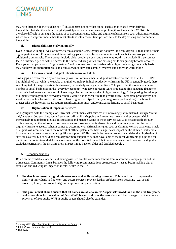

may help them tackle their exclusion".<sup>43</sup> This suggests not only that digital exclusion is shaped by underlying inequalities, but also that a lack of digital participation can exacerbate and prolong these inequalities. Whilst it is therefore difficult to untangle the issues of socioeconomic inequality and digital exclusion from each other, interventions which seek to improve mental health must also take into account (and perhaps seek to tackle) existing socioeconomic inequalities.

### **ii. Digital skills are evolving quickly**

Even in areas with high levels of internet access at home, some groups do not have the necessary skills to maximise their digital participation. To some extent these skills gaps are driven by educational inequalities, but some groups remain additionally vulnerable. These groups include older people, parents, and the unemployed – particularly if a person has faced a sustained period without access to the internet during which time existing skills can quickly become obsolete. Even young people who are "digital natives" and who may feel comfortable using digital technology on a daily basis may not have the appropriate skills to access services, navigate complex systems and apply for work online.

### **iii. Low investment in digital infrastructure and skills**

Skills gaps are exacerbated by a chronically low level of investment in digital infrastructure and skills in the UK. IPPR has highlighted that whilst the uptake of digital technology in high productivity firms in the UK is generally good, there is a "long tail of low-productivity businesses", particularly among smaller firms.<sup>44</sup> In particular this refers to a large number of small businesses in the "everyday economy" who have in recent years struggled to find adequate finance to grow their businesses and, as a result, have lagged behind on the uptake of digital technology.<sup>45</sup> Supporting the take-up of digital technology in the everyday economy would not only contribute to greater overall economic productivity, but would also enable a far wider diffusion of basic digital skills (particularly among lower paid workers). Enabling this greater take-up, however, would require significant investment and/or increased lending to small businesses.

### **iv. Digitalisation of important services**

As highlighted with the example of Universal Credit, many vital services are increasingly administered through "online only" systems. Job searches, council services, utility bills, shopping and arranging travel are all processes which increasingly require basic digital skills to access and manage. Some of these services will also be accessible through offline means, but the information on how to access those services is also online and requires support for the nondigitally literate to access. When it comes to accessing vital citizenship rights, such as claiming welfare payments, a lack of digital skills combined with the removal of offline systems can have a significant impact on the ability of vulnerable households to make claims without significant support. While it would be counterproductive to delay the digitisation of services as a result, it should be necessary for more support to be made available to the most vulnerable groups and for public sector bodies to undertake an assessment of the potential impact that these processes could have on the digitally excluded (particularly the discriminatory impact it may have on older and disabled people).

### 6. Recommendations

Based on the available evidence and having assessed similar recommendations from researchers, campaigners and the third sector, Community Links believes the following recommendations are necessary steps to begin tackling digital exclusion and reducing its impact on mental health in the UK.

- **1. Further investment in digital infrastructure and skills training is needed.** This would help to improve the ability of individuals to find work and access services, prevent further problems from occurring (e.g. social isolation, fraud, low productivity) and improve civic participation.
- **2. The government should ensure that all homes are able to access "superfast" broadband in the next five years, and make plans for the rollout of "ultrafast" broadband over the next decade.** The coverage of 4G internet and provision of free public WiFi in public spaces should also be extended.

1

<sup>43</sup> Carnegie UK, *The role of digital exclusion in social exclusion*, p.5.

<sup>44</sup> IPPR, *Prosperity and Justice*, p.48.

<sup>45</sup> Ibid. p.51.